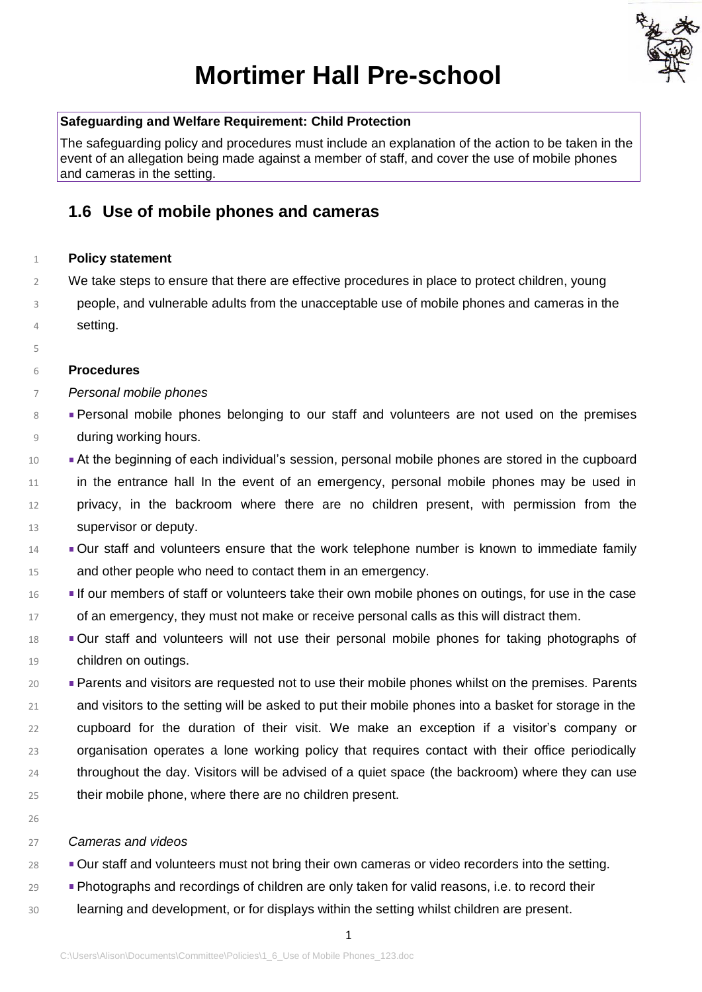

# **Mortimer Hall Pre-school**

### **Safeguarding and Welfare Requirement: Child Protection**

The safeguarding policy and procedures must include an explanation of the action to be taken in the event of an allegation being made against a member of staff, and cover the use of mobile phones and cameras in the setting.

## **1.6 Use of mobile phones and cameras**

#### **Policy statement**

- We take steps to ensure that there are effective procedures in place to protect children, young
- people, and vulnerable adults from the unacceptable use of mobile phones and cameras in the setting.

#### **Procedures**

- *Personal mobile phones*
- Personal mobile phones belonging to our staff and volunteers are not used on the premises during working hours.
- 10 At the beginning of each individual's session, personal mobile phones are stored in the cupboard 11 in the entrance hall In the event of an emergency, personal mobile phones may be used in privacy, in the backroom where there are no children present, with permission from the supervisor or deputy.
- Our staff and volunteers ensure that the work telephone number is known to immediate family and other people who need to contact them in an emergency.
- **If our members of staff or volunteers take their own mobile phones on outings, for use in the case** of an emergency, they must not make or receive personal calls as this will distract them.
- Our staff and volunteers will not use their personal mobile phones for taking photographs of children on outings.
- Parents and visitors are requested not to use their mobile phones whilst on the premises. Parents and visitors to the setting will be asked to put their mobile phones into a basket for storage in the cupboard for the duration of their visit. We make an exception if a visitor's company or organisation operates a lone working policy that requires contact with their office periodically throughout the day. Visitors will be advised of a quiet space (the backroom) where they can use their mobile phone, where there are no children present.
- 

#### *Cameras and videos*

- <sup>28</sup> Our staff and volunteers must not bring their own cameras or video recorders into the setting.
- **Photographs and recordings of children are only taken for valid reasons, i.e. to record their**
- learning and development, or for displays within the setting whilst children are present.